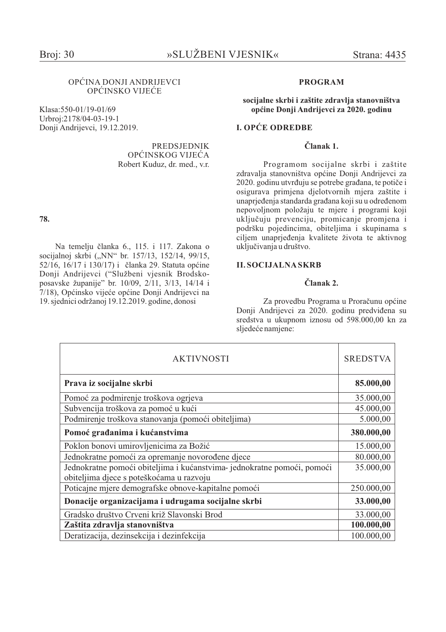## OPĆINA DONJI ANDRIJEVCI OPĆINSKO VIJEĆE

Klasa: 550-01/19-01/69 Urbroj:2178/04-03-19-1 Donji Andrijevci, 19.12.2019.

> **PREDSJEDNIK** OPĆINSKOG VIJEĆA Robert Kuduz, dr. med., v.r.

# 78.

Na temelju članka 6., 115. i 117. Zakona o socijalnoj skrbi ("NN" br. 157/13, 152/14, 99/15, 52/16, 16/17 i 130/17) i članka 29. Statuta općine Donji Andrijevci ("Službeni vjesnik Brodskoposavske županije" br. 10/09, 2/11, 3/13, 14/14 i 7/18), Općinsko vijeće općine Donji Andrijevci na 19. siednici održanoj 19.12.2019. godine, donosi

### **PROGRAM**

### socijalne skrbi i zaštite zdravlja stanovništva općine Donji Andrijevci za 2020. godinu

# **L OPĆE ODREDBE**

# Članak 1.

Programom socijalne skrbi i zaštite zdravalja stanovništva općine Donji Andrijevci za 2020. godinu utvrđuju se potrebe građana, te potiče i osigurava primjena djelotvornih mjera zaštite i unaprjeđenja standarda građana koji su u određenom nepovoljnom položaju te mjere i programi koji uključuju prevenciju, promicanje promjena i podršku pojedincima, obiteljima i skupinama s ciljem unaprjeđenja kvalitete života te aktivnog uključivanja u društvo.

### **II. SOCIJALNA SKRB**

# Članak 2.

Za provedbu Programa u Proračunu općine Donji Andrijevci za 2020. godinu predviđena su sredstva u ukupnom iznosu od 598.000,00 kn za sljedeće namjene:

| <b>AKTIVNOSTI</b>                                                       | <b>SREDSTVA</b> |
|-------------------------------------------------------------------------|-----------------|
| Prava iz socijalne skrbi                                                | 85.000,00       |
| Pomoć za podmirenje troškova ogrjeva                                    | 35.000,00       |
| Subvencija troškova za pomoć u kući                                     | 45.000,00       |
| Podmirenje troškova stanovanja (pomoći obiteljima)                      | 5.000,00        |
| Pomoć građanima i kućanstvima                                           | 380.000,00      |
| Poklon bonovi umirovljenicima za Božić                                  | 15.000,00       |
| Jednokratne pomoći za opremanje novorođene djece                        | 80.000,00       |
| Jednokratne pomoći obiteljima i kućanstvima- jednokratne pomoći, pomoći | 35.000,00       |
| obiteljima djece s poteškoćama u razvoju                                |                 |
| Poticajne mjere demografske obnove-kapitalne pomoći                     | 250.000,00      |
| Donacije organizacijama i udrugama socijalne skrbi                      | 33.000,00       |
| Gradsko društvo Crveni križ Slavonski Brod                              | 33.000,00       |
| Zaštita zdravlja stanovništva                                           | 100.000,00      |
| Deratizacija, dezinsekcija i dezinfekcija                               | 100.000,00      |